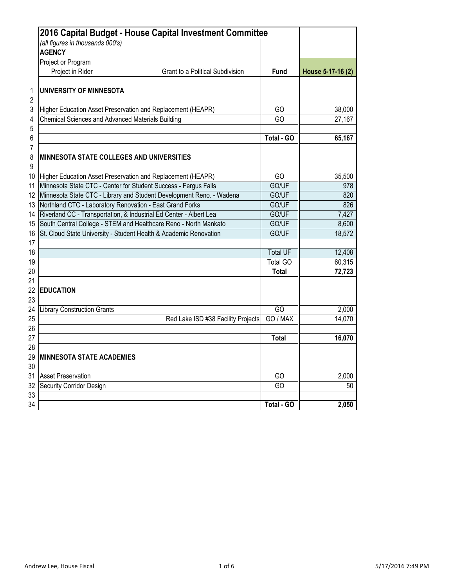|                | 2016 Capital Budget - House Capital Investment Committee                                                                              |                 |                   |
|----------------|---------------------------------------------------------------------------------------------------------------------------------------|-----------------|-------------------|
|                | (all figures in thousands 000's)                                                                                                      |                 |                   |
|                | <b>AGENCY</b>                                                                                                                         |                 |                   |
|                | Project or Program                                                                                                                    |                 |                   |
|                | Project in Rider<br><b>Grant to a Political Subdivision</b>                                                                           | <b>Fund</b>     | House 5-17-16 (2) |
| 1              | UNIVERSITY OF MINNESOTA                                                                                                               |                 |                   |
| $\overline{2}$ |                                                                                                                                       |                 |                   |
| 3              | Higher Education Asset Preservation and Replacement (HEAPR)                                                                           | GO              | 38,000            |
| 4              | <b>Chemical Sciences and Advanced Materials Building</b>                                                                              | GO              | 27,167            |
| 5              |                                                                                                                                       |                 |                   |
| 6              |                                                                                                                                       | Total - GO      | 65,167            |
| 7<br>8         | <b>MINNESOTA STATE COLLEGES AND UNIVERSITIES</b>                                                                                      |                 |                   |
| 9              |                                                                                                                                       |                 |                   |
| 10             | Higher Education Asset Preservation and Replacement (HEAPR)                                                                           | GO              | 35,500            |
| 11             | Minnesota State CTC - Center for Student Success - Fergus Falls                                                                       | GO/UF           | 978               |
| 12             | Minnesota State CTC - Library and Student Development Reno. - Wadena<br>Northland CTC - Laboratory Renovation - East Grand Forks      | GO/UF           | 820<br>826        |
| 13             |                                                                                                                                       | GO/UF           |                   |
| 14             | Riverland CC - Transportation, & Industrial Ed Center - Albert Lea                                                                    | GO/UF<br>GO/UF  | 7,427             |
| 15<br>16       | South Central College - STEM and Healthcare Reno - North Mankato<br>St. Cloud State University - Student Health & Academic Renovation | GO/UF           | 8,600<br>18,572   |
| 17             |                                                                                                                                       |                 |                   |
| 18             |                                                                                                                                       | <b>Total UF</b> | 12,408            |
| 19             |                                                                                                                                       | <b>Total GO</b> | 60,315            |
| 20             |                                                                                                                                       | <b>Total</b>    | 72,723            |
| 21             |                                                                                                                                       |                 |                   |
| 22             | <b>EDUCATION</b>                                                                                                                      |                 |                   |
| 23             |                                                                                                                                       |                 |                   |
| 24             | <b>Library Construction Grants</b>                                                                                                    | GO              | 2,000             |
| 25             | Red Lake ISD #38 Facility Projects                                                                                                    | GO / MAX        | 14,070            |
| 26             |                                                                                                                                       |                 |                   |
| 27             |                                                                                                                                       | <b>Total</b>    | 16,070            |
| 28             |                                                                                                                                       |                 |                   |
| 29             | <b>MINNESOTA STATE ACADEMIES</b>                                                                                                      |                 |                   |
| 30             |                                                                                                                                       |                 |                   |
| 31             | <b>Asset Preservation</b>                                                                                                             | GO              | 2,000             |
| 32             | Security Corridor Design                                                                                                              | GO              | 50                |
| 33             |                                                                                                                                       |                 |                   |
| 34             |                                                                                                                                       | Total - GO      | 2,050             |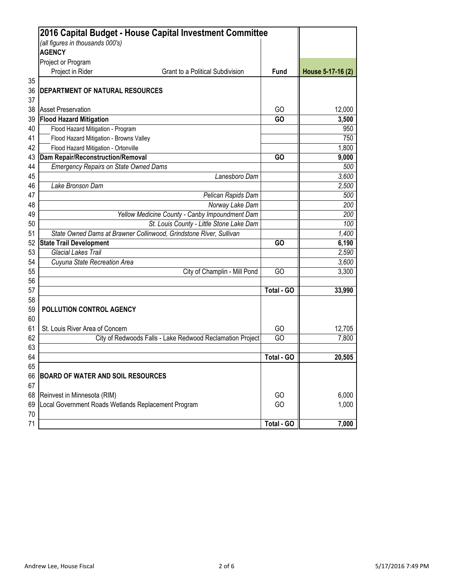|    | 2016 Capital Budget - House Capital Investment Committee<br>(all figures in thousands 000's) |                   |                   |
|----|----------------------------------------------------------------------------------------------|-------------------|-------------------|
|    | <b>AGENCY</b>                                                                                |                   |                   |
|    | Project or Program                                                                           |                   |                   |
|    | Project in Rider<br><b>Grant to a Political Subdivision</b>                                  | <b>Fund</b>       | House 5-17-16 (2) |
| 35 |                                                                                              |                   |                   |
| 36 | DEPARTMENT OF NATURAL RESOURCES                                                              |                   |                   |
| 37 |                                                                                              |                   |                   |
| 38 | <b>Asset Preservation</b>                                                                    | GO                | 12,000            |
| 39 | <b>Flood Hazard Mitigation</b>                                                               | GO                | 3,500             |
| 40 | Flood Hazard Mitigation - Program                                                            |                   | 950               |
| 41 | Flood Hazard Mitigation - Browns Valley                                                      |                   | 750               |
| 42 | Flood Hazard Mitigation - Ortonville                                                         |                   | 1,800             |
| 43 | <b>Dam Repair/Reconstruction/Removal</b>                                                     | GO                | 9,000             |
| 44 | <b>Emergency Repairs on State Owned Dams</b>                                                 |                   | 500               |
| 45 | Lanesboro Dam                                                                                |                   | 3,600             |
| 46 | Lake Bronson Dam                                                                             |                   | 2,500             |
| 47 | Pelican Rapids Dam                                                                           |                   | 500               |
| 48 | Norway Lake Dam                                                                              |                   | 200               |
| 49 | Yellow Medicine County - Canby Impoundment Dam                                               |                   | 200               |
| 50 | St. Louis County - Little Stone Lake Dam                                                     |                   | 100               |
| 51 | State Owned Dams at Brawner Collinwood, Grindstone River, Sullivan                           |                   | 1,400             |
| 52 | <b>State Trail Development</b>                                                               | GO                | 6,190             |
| 53 | <b>Glacial Lakes Trail</b>                                                                   |                   | 2,590             |
| 54 | Cuyuna State Recreation Area                                                                 |                   | 3,600             |
| 55 | City of Champlin - Mill Pond                                                                 | GO                | 3,300             |
| 56 |                                                                                              |                   |                   |
| 57 |                                                                                              | <b>Total - GO</b> | 33,990            |
| 58 |                                                                                              |                   |                   |
| 59 | POLLUTION CONTROL AGENCY                                                                     |                   |                   |
| 60 |                                                                                              |                   |                   |
| 61 | St. Louis River Area of Concern                                                              | GO                | 12,705            |
| 62 | City of Redwoods Falls - Lake Redwood Reclamation Project                                    | GO                | 7,800             |
| 63 |                                                                                              |                   |                   |
| 64 |                                                                                              | Total - GO        | 20,505            |
| 65 |                                                                                              |                   |                   |
| 66 | <b>BOARD OF WATER AND SOIL RESOURCES</b>                                                     |                   |                   |
| 67 |                                                                                              |                   |                   |
| 68 | Reinvest in Minnesota (RIM)                                                                  | GO                | 6,000             |
| 69 | Local Government Roads Wetlands Replacement Program                                          | GO                | 1,000             |
| 70 |                                                                                              |                   |                   |
| 71 |                                                                                              | Total - GO        | 7,000             |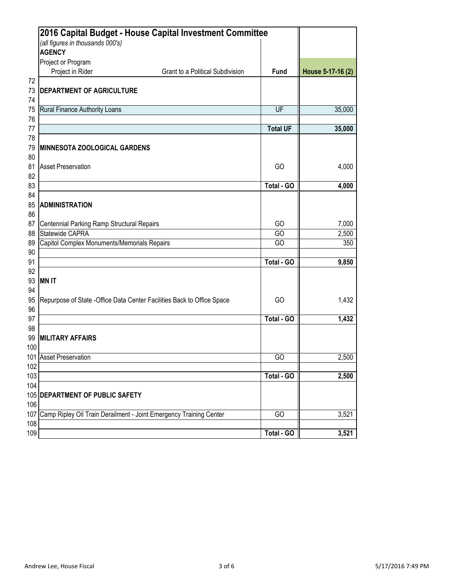| 2016 Capital Budget - House Capital Investment Committee                           |                                                        |                   |
|------------------------------------------------------------------------------------|--------------------------------------------------------|-------------------|
| (all figures in thousands 000's)                                                   |                                                        |                   |
| <b>AGENCY</b>                                                                      |                                                        |                   |
| Project or Program                                                                 |                                                        |                   |
| Project in Rider                                                                   | <b>Grant to a Political Subdivision</b><br><b>Fund</b> | House 5-17-16 (2) |
| 72<br>73<br><b>DEPARTMENT OF AGRICULTURE</b>                                       |                                                        |                   |
| 74<br><b>Rural Finance Authority Loans</b><br>75                                   | UF                                                     | 35,000            |
| 76                                                                                 |                                                        |                   |
| 77                                                                                 | <b>Total UF</b>                                        | 35,000            |
| 78<br>79<br><b>IMINNESOTA ZOOLOGICAL GARDENS</b>                                   |                                                        |                   |
| 80                                                                                 |                                                        |                   |
| 81<br><b>Asset Preservation</b><br>82                                              | GO                                                     | 4,000             |
| 83                                                                                 | <b>Total - GO</b>                                      | 4,000             |
| 84                                                                                 |                                                        |                   |
| 85<br><b>ADMINISTRATION</b><br>86                                                  |                                                        |                   |
| 87<br>Centennial Parking Ramp Structural Repairs                                   | GO                                                     | 7,000             |
| Statewide CAPRA<br>88                                                              | GO                                                     | 2,500             |
| Capitol Complex Monuments/Memorials Repairs<br>89                                  | GO                                                     | 350               |
| 90<br>91                                                                           | Total - GO                                             | 9,850             |
| 92                                                                                 |                                                        |                   |
| 93<br><b>MNIT</b>                                                                  |                                                        |                   |
| 94<br>95   Repurpose of State - Office Data Center Facilities Back to Office Space | GO                                                     | 1,432             |
| 96                                                                                 |                                                        |                   |
| 97                                                                                 | Total - GO                                             | 1,432             |
| 98<br>99<br><b>MILITARY AFFAIRS</b>                                                |                                                        |                   |
| 100                                                                                |                                                        |                   |
| 101 Asset Preservation                                                             | GO                                                     | 2,500             |
| 102                                                                                |                                                        |                   |
| 103                                                                                | Total - GO                                             | 2,500             |
| 104<br>105 DEPARTMENT OF PUBLIC SAFETY                                             |                                                        |                   |
| 106                                                                                |                                                        |                   |
| 107 Camp Ripley Oil Train Derailment - Joint Emergency Training Center             | GO                                                     | 3,521             |
| 108                                                                                |                                                        |                   |
| 109                                                                                | Total - GO                                             | 3,521             |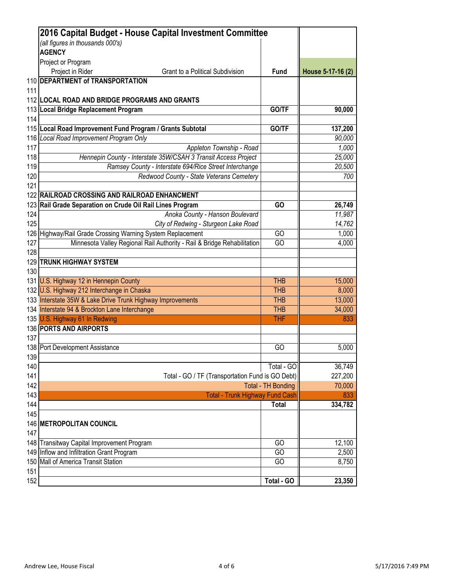|     | 2016 Capital Budget - House Capital Investment Committee                |                           |                   |
|-----|-------------------------------------------------------------------------|---------------------------|-------------------|
|     | (all figures in thousands 000's)                                        |                           |                   |
|     | <b>AGENCY</b>                                                           |                           |                   |
|     | Project or Program                                                      |                           |                   |
|     | Project in Rider<br><b>Grant to a Political Subdivision</b>             | <b>Fund</b>               | House 5-17-16 (2) |
|     | 110 DEPARTMENT of TRANSPORTATION                                        |                           |                   |
| 111 |                                                                         |                           |                   |
|     | 112 LOCAL ROAD AND BRIDGE PROGRAMS AND GRANTS                           |                           |                   |
|     | 113 Local Bridge Replacement Program                                    | GO/TF                     | 90,000            |
| 114 |                                                                         |                           |                   |
|     | 115 Local Road Improvement Fund Program / Grants Subtotal               | GO/TF                     | 137,200           |
|     | 116 Local Road Improvement Program Only                                 |                           | 90,000            |
| 117 | Appleton Township - Road                                                |                           | 1,000             |
| 118 | Hennepin County - Interstate 35W/CSAH 3 Transit Access Project          |                           | 25,000            |
| 119 | Ramsey County - Interstate 694/Rice Street Interchange                  |                           | 20,500            |
| 120 | Redwood County - State Veterans Cemetery                                |                           | 700               |
| 121 |                                                                         |                           |                   |
|     | 122 RAILROAD CROSSING AND RAILROAD ENHANCMENT                           |                           |                   |
|     | 123 Rail Grade Separation on Crude Oil Rail Lines Program               | GO                        | 26,749            |
| 124 | Anoka County - Hanson Boulevard                                         |                           | 11,987            |
| 125 | City of Redwing - Sturgeon Lake Road                                    |                           | 14,762            |
|     | 126 Highway/Rail Grade Crossing Warning System Replacement              | GO                        | 1,000             |
| 127 | Minnesota Valley Regional Rail Authority - Rail & Bridge Rehabilitation | GO                        | 4,000             |
| 128 |                                                                         |                           |                   |
|     | <b>129 TRUNK HIGHWAY SYSTEM</b>                                         |                           |                   |
| 130 |                                                                         |                           |                   |
|     | 131 U.S. Highway 12 in Hennepin County                                  | <b>THB</b>                | 15,000            |
|     | 132 U.S. Highway 212 Interchange in Chaska                              | <b>THB</b>                | 8,000             |
|     | 133 Interstate 35W & Lake Drive Trunk Highway Improvements              | <b>THB</b>                | 13,000            |
|     | 134 Interstate 94 & Brockton Lane Interchange                           | <b>THB</b>                | 34,000            |
|     | 135 U.S. Highway 61 In Redwing                                          | <b>THF</b>                | 833               |
|     | 136 PORTS AND AIRPORTS                                                  |                           |                   |
| 137 |                                                                         |                           |                   |
|     | 138 Port Development Assistance                                         | GO                        | 5,000             |
| 139 |                                                                         |                           |                   |
| 140 |                                                                         | Total - GO                | 36,749            |
| 141 | Total - GO / TF (Transportation Fund is GO Debt)                        |                           | 227,200           |
| 142 |                                                                         | <b>Total - TH Bonding</b> | 70,000            |
| 143 | <b>Total - Trunk Highway Fund Cash</b>                                  |                           | 833               |
| 144 |                                                                         | <b>Total</b>              | 334,782           |
| 145 |                                                                         |                           |                   |
|     | <b>146 METROPOLITAN COUNCIL</b>                                         |                           |                   |
|     |                                                                         |                           |                   |
| 147 |                                                                         |                           |                   |
|     | 148 Transitway Capital Improvement Program                              | GO                        | 12,100            |
|     | 149 Inflow and Infiltration Grant Program                               | GO                        | 2,500             |
|     | 150 Mall of America Transit Station                                     | GO                        | 8,750             |
| 151 |                                                                         |                           |                   |
| 152 |                                                                         | Total - GO                | 23,350            |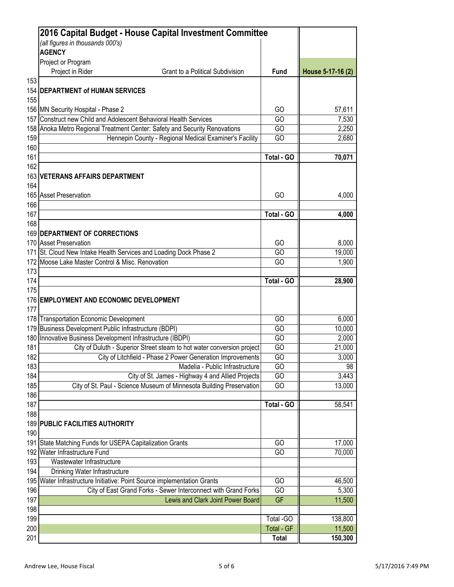|            | 2016 Capital Budget - House Capital Investment Committee                                                              |                   |                   |
|------------|-----------------------------------------------------------------------------------------------------------------------|-------------------|-------------------|
|            | (all figures in thousands 000's)                                                                                      |                   |                   |
|            | <b>AGENCY</b>                                                                                                         |                   |                   |
|            | Project or Program                                                                                                    |                   |                   |
|            | Project in Rider<br><b>Grant to a Political Subdivision</b>                                                           | <b>Fund</b>       | House 5-17-16 (2) |
| 153        |                                                                                                                       |                   |                   |
|            | <b>154 DEPARTMENT of HUMAN SERVICES</b>                                                                               |                   |                   |
| 155        |                                                                                                                       |                   |                   |
|            | 156 MN Security Hospital - Phase 2                                                                                    | GO                | 57,611            |
|            | 157 Construct new Child and Adolescent Behavioral Health Services                                                     | GO                | 7,530             |
|            | 158 Anoka Metro Regional Treatment Center: Safety and Security Renovations                                            | GO                | 2,250             |
| 159        | Hennepin County - Regional Medical Examiner's Facility                                                                | GO                | 2,680             |
| 160        |                                                                                                                       |                   |                   |
| 161        |                                                                                                                       | Total - GO        | 70,071            |
| 162        |                                                                                                                       |                   |                   |
|            | 163 VETERANS AFFAIRS DEPARTMENT                                                                                       |                   |                   |
| 164        |                                                                                                                       |                   |                   |
|            | 165 Asset Preservation                                                                                                | GO                | 4,000             |
| 166        |                                                                                                                       | Total - GO        |                   |
| 167<br>168 |                                                                                                                       |                   | 4,000             |
|            | <b>169 DEPARTMENT OF CORRECTIONS</b>                                                                                  |                   |                   |
|            | 170 Asset Preservation                                                                                                | GO                |                   |
|            |                                                                                                                       | GO                | 8,000<br>19,000   |
|            | 171 St. Cloud New Intake Health Services and Loading Dock Phase 2<br>172 Moose Lake Master Control & Misc. Renovation | GO                | 1,900             |
| 173        |                                                                                                                       |                   |                   |
| 174        |                                                                                                                       | Total - GO        | 28,900            |
| 175        |                                                                                                                       |                   |                   |
|            | 176 EMPLOYMENT AND ECONOMIC DEVELOPMENT                                                                               |                   |                   |
| 177        |                                                                                                                       |                   |                   |
|            | 178 Transportation Economic Development                                                                               | GO                | 6,000             |
|            | 179 Business Development Public Infrastructure (BDPI)                                                                 | GO                | 10,000            |
|            | 180 Innovative Business Development Infrastructure (IBDPI)                                                            | GO                | 2,000             |
| 181        | City of Duluth - Superior Street steam to hot water conversion project                                                | GO                | 21,000            |
| 182        | City of Litchfield - Phase 2 Power Generation Improvements                                                            | GO                | 3,000             |
| 183        | Madelia - Public Infrastructure                                                                                       | GO                | 98                |
| 184        | City of St. James - Highway 4 and Allied Projects                                                                     | GO                | 3,443             |
| 185        | City of St. Paul - Science Museum of Minnesota Building Preservation                                                  | GO                | 13,000            |
| 186        |                                                                                                                       |                   |                   |
| 187        |                                                                                                                       | Total - GO        | 58,541            |
| 188        |                                                                                                                       |                   |                   |
|            | 189 PUBLIC FACILITIES AUTHORITY                                                                                       |                   |                   |
| 190        |                                                                                                                       |                   |                   |
|            | 191 State Matching Funds for USEPA Capitalization Grants                                                              | GO                | 17,000            |
|            | 192 Water Infrastructure Fund                                                                                         | GO                | 70,000            |
| 193        | Wastewater Infrastructure                                                                                             |                   |                   |
| 194        | Drinking Water Infrastructure                                                                                         |                   |                   |
|            | 195 Water Infrastructure Initiative: Point Source implementation Grants                                               | GO                | 46,500            |
| 196        | City of East Grand Forks - Sewer Interconnect with Grand Forks                                                        | GO                | 5,300             |
| 197        | Lewis and Clark Joint Power Board                                                                                     | <b>GF</b>         | 11,500            |
| 198        |                                                                                                                       |                   |                   |
| 199        |                                                                                                                       | Total - GO        | 138,800           |
| 200        |                                                                                                                       | <b>Total - GF</b> | 11,500            |
| 201        |                                                                                                                       | <b>Total</b>      | 150,300           |
|            |                                                                                                                       |                   |                   |